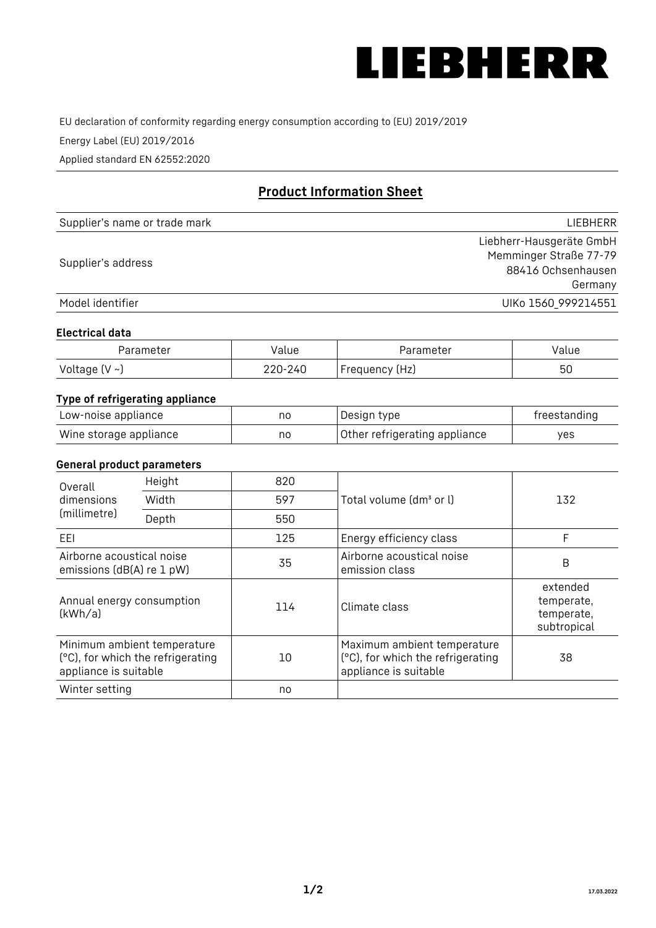

EU declaration of conformity regarding energy consumption according to (EU) 2019/2019

Energy Label (EU) 2019/2016

Applied standard EN 62552:2020

# **Product Information Sheet**

| Supplier's name or trade mark | <b>LIFBHFRR</b>          |
|-------------------------------|--------------------------|
|                               | Liebherr-Hausgeräte GmbH |
| Supplier's address            | Memminger Straße 77-79   |
|                               | 88416 Ochsenhausen       |
|                               | Germany                  |
| Model identifier              | UIKo 1560_999214551      |

#### **Electrical data**

| Parameter           | Value   | Parameter      | Value |
|---------------------|---------|----------------|-------|
| Voltage (V $\sim$ ) | 220-240 | Frequency (Hz) | 50    |

## **Type of refrigerating appliance**

| Low-noise appliance    | nc | Design type                   | freestanding |
|------------------------|----|-------------------------------|--------------|
| Wine storage appliance | no | Other refrigerating appliance | ves          |

#### **General product parameters**

| Height<br>Overall                                      |                                                                  | 820 |                                                                                           |                                                     |
|--------------------------------------------------------|------------------------------------------------------------------|-----|-------------------------------------------------------------------------------------------|-----------------------------------------------------|
| dimensions<br>(millimetre)                             | Width                                                            | 597 | Total volume (dm <sup>3</sup> or l)                                                       | 132                                                 |
|                                                        | Depth                                                            | 550 |                                                                                           |                                                     |
| EEL                                                    |                                                                  | 125 | Energy efficiency class                                                                   | F                                                   |
| Airborne acoustical noise<br>emissions (dB(A) re 1 pW) |                                                                  | 35  | Airborne acoustical noise<br>emission class                                               | B                                                   |
| Annual energy consumption<br>(kWh/a)                   |                                                                  | 114 | Climate class                                                                             | extended<br>temperate,<br>temperate,<br>subtropical |
| appliance is suitable                                  | Minimum ambient temperature<br>(°C), for which the refrigerating | 10  | Maximum ambient temperature<br>(°C), for which the refrigerating<br>appliance is suitable | 38                                                  |
| Winter setting                                         |                                                                  | no  |                                                                                           |                                                     |